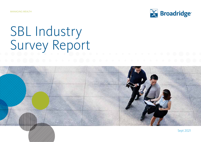MANAGING WEALTH



# SBL Industry Survey Report

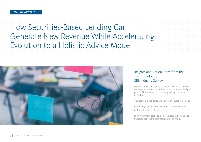## How Securities-Based Lending Can Generate New Revenue While Accelerating Evolution to a Holistic Advice Model



## Insights and Action Steps from the 2021 Broadridge SBL Industry Survey

When we look across our customer base over the last year, everyone experienced growth - in many cases double-digit growth. This is backed up by the regulatory bodies such as FINRA.

Two economic trendlines underscore this surge in demand:

- **•** The ongoing, relatively low interest rate environment
- **•** The still-robust bull market

High investment portfolio market valuations have "upped investors' appetite to collateralize their portfolio."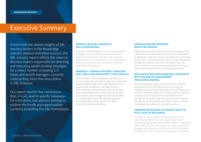## Executive Summary

Drawn from the shared insights of SBL industry leaders in the Broadridge industry network and other sources, this SBL industry report reflects the views of decision makers responsible for directing and executing wealth lending strategies for a select number of leading U.S. banks and wealth managers currently underwriting more than \$100 billion in SBL business.

Our report reaches five conclusions that, in turn, lead to specific takeaways for institutions and advisors looking to explore the trends and opportunities currently propelling the SBL marketplace.

#### **GROWTH: WITH SBL, GROWTH IS MULTI-DIMENSIONAL**

A broader understanding of how successful lending strategies are measured empowers both decision makers and relationship managers. We show how growth dynamics are leading to a variety of patterns among loan commitments, utilization, drawdowns and outstanding balances.

## **EMERGENT "LENDING ADVISORS" SIGNALING THAT "HALF A BALANCE SHEET" IS NOT ENOUGH**

Client interest in "Financial Wellness" during 2020 lit a fire under many financial advisors who have traditionally stayed mainly focused on the asset side of the client's balance sheet. As logical as that habit might be – that's where the investment assets are – delivering a personalized experience to clients requires a broader vision of what a holistic wealth practice should deliver. This report explores how SBL thought leaders are motivating sales teams to consider the whole picture: both assets and liabilities.

### **STREAMLINING SBL PROCESSES DRIVES SBL DEMAND**

Digital streamlining measures, like using DocuSign in SBL underwriting, are becoming pro forma in the marketplace. As digitization displaces time-consuming tasks, accelerated by the need to remotely service clients, survey respondents indicate that neither institutions nor clients have any desire to revert to a time when loan approvals could take weeks and required cyclical meetings and approvals.

### **SBL'S DIGITAL DELIVERY SEAMLESSLY INTEGRATES WITH THE WEALTH MANAGEMENT INNOVATION AGENDA**

Survey respondents detail how they have accelerated innovation and that SBL digitization is a priority for scalability, empowering Lending Advisors and streamlining an end-to-end loan origination process. Machine learning and data analytics will be incorporated into wealth management practices over the next 18 months, making SBL ripe for personalization and differentiation across an increasingly diversified and competitive arena.

### **EMERGING RETAIL WEALTH COHORT LIKELY TO PLAY A ROLE IN SBL MARKET**

Driven by a surge in wealth transfers, aging Gen Xers and maturing Millennials, SBL's appeal is growing. A burgeoning, digital-savvy Mass Affluent cohort is signalling that it wants access to the same asset classes, investment strategies and products – like SBL – to which institutions and high net worth investors have had access for decades.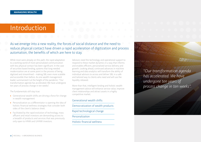## Introduction

## As we emerge into a new reality, the forces of social distance and the need to reduce physical contact have driven a rapid acceleration of digitization and process automation, the benefits of which are here to stay.

While most were already on this path, the rapid adaptation to a working world of more personalized communication with less physical contact has been significant. In the case of securities-based lending, systems that long-needed modernization are at some point in the process of being digitized and streamlined – making SBL even more scalable and accessible than before. As one wealth management leader summarized it at the height of the pandemic: "Our transformation agenda has accelerated. We have undergone ten years of process change in ten weeks".

The fundamentals still stay true:

- **•** Generational wealth shifts are driving a force for change in wealth management
- **•** Personalization as a differentiator is opening the idea of holistic financial wellness strategies that consider both sides of the client's balance sheet.
- **•** Facilitated by the rapid evolution of technology, mass affluent and retail investors are demanding access to a breadth of products and services that was previously only open to HNW and UHNW investors.

Advisors need the technology and operational support to respond to these market dynamics in a way that informs and enables efficient, personalized service delivery and growth. Looking ahead, continued advances in machine learning and data analytics will transform the ability of individual advisors to access and deliver SBL in a safe and tailored way to clients who need and will use the liquidity released.

More than that, intelligent lending and holistic wealth management advice will enhance service value, improve client relationships and attract assets in a highly competitive market.

## Generational wealth shifts

Democratization of wealth products

Rapid technological change

Personalization

Holistic financial wellness

*"Our transformation agenda has accelerated. We have undergone ten years of process change in ten weeks".*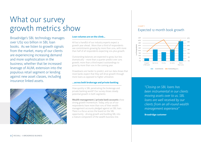## What our survey growth metrics show I CHARTI

Broadridge's SBL technology manages over US\$ 100 billion in SBL loan books. As we listen to growth signals from the market, many of our clients are experiencing increasing demand and more sophistication in the business; whether that be increased leverage of AUM, extension into the populous retail segment or lending against new asset classes, including insurance linked assets.



## **Loan volumes are on the climb…**

All but a handful of our industry experts expect a growth year ahead. More than a third of respondents see commitments growing by more than 20%, with more than half of all respondents expecting 10% plus growth.

Outstanding balances are expected to grow, but less dramatically – more than a quarter predict over 20% growth; more than a third expect outstandings to grow by more than 10% in the coming year.

Drawdowns are harder to predict, and our data shows that most banks expect that they will drive growth through more loans as opposed to higher utilization.

## **...across both brokerage and private banking**

How quickly is SBL penetrating the brokerage and private banking world? Our survey shows steady potential growth in both segments:

**Wealth management / private bank accounts** show strong growth momentum. Today, only 5% of our respondents have more than 10% of their wealth management accounts pledged against an SBL loan. There is a focus across the board on the SBL opportunity - driving growth and building SBL into a mature component of the wealth business line.

## Expected 12-month book growth



*"Closing on SBL loans has been instrumental in our clients moving assets over to us. SBL loans are well received by our clients from an all-round wealth management experience"*

**Broadridge customer**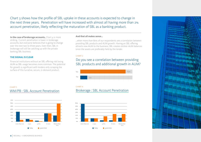Chart 3 shows how the profile of SBL uptake in these accounts is expected to change in the next three years. Penetration will have increased with almost all having more than 2% account penetration, likely reflecting the maturation of SBL as a banking product.

**In the case of brokerage accounts,** Chart  $4$  is more striking. Current penetration is lower in brokerage accounts, but everyone believes that is going to change over the next two to three years. Even then, SBL in brokerage will still be catching up with the private banking SBL business.

### **THE SIGNAL IS CLEAR**

CHART 3

Financial institutions without an SBL offering risk losing AUM as SBL usage becomes more common. The potential for growth is significant with lenders only scraping the surface of this lucrative, secure, in-demand product.

## WM/PB : SBL Account Penetration



## **And that all makes sense…**

…when more than 80% of our respondents see a correlation between providing SBL products and AUM growth. Having an SBL offering attracts new AUM to the business; SBL creates stickier AUM balances since the assets are preferably held by the lender.

#### CHART 2

## Do you see a correlation between providing SBL products and additional growth in AUM?







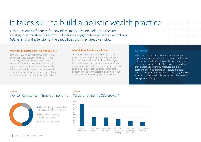## It takes skill to build a holistic wealth practice

Despite client preferences for new ideas, many advisors default to the same catalogue of investment solutions. Our survey suggests how advisors can embrace SBL as a natural extension of the capabilities that they already employ.

#### **Why not all advisors are in love with SBL. Yet**

Unsurprisingly, advisor reluctance tops the poll of barriers to SBL growth. Some advisors feel a fiduciary conflict when considering SBL as a borrowing strategy. In every borrowing situation (e.g., HELOC, margin loan, SBL), actions can be taken to address these concerns, particularly in relation to anticipating and responding to down market conditions and potential margin call events.

#### **Why advisors find SBL complicated**

Traditionally, SBL has involved detailed, manual processes requiring multiple iterations between the client, the advisor and the bank. Think cyclical loan evaluations, offers, signing requirements and release processing with lots of friction, bottlenecks and time delays. A positive consequence of the pandemic has been the acceleration of digitization – and streamlining of SBL processes as a result.

#### **TAKEAWAY**

Safeguards can be put in place to mitigate client risk. Loan commitment amounts can be flexed to reduce the risk of a margin call; SBL loans can be backstopped with a secondary loan (e.g. a HELOC) to facilitate switch out should that be appropriate. Measures like this create space and enable advisors to offer secure and costeffective SBL, generate savings and to push beyond asset allocation to comfortably deliver a more holistic wealth management offering.

## CHART 5 Advisor Reluctance - Three Components



- Not sufficiently comfortable or familiar with SBL as a product
- Nervous of burdening a client with debt
- SBL is too complicated

## CHART 6 What is hampering SBL growth?

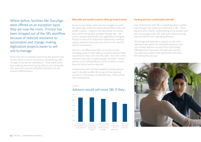Where before, facilities like DocuSign were offered on an exception basis, they are now the norm. Friction has been stripped out of the SBL workflow because of reduced resistance to automation and change, making digitization projects easier to sell and to manage.

Banks that are successfully maximizing SBL growth have moved closer to end-to-end process streamlining, right through to the advisor workstation. These banks know that enabling and informing the advisor and making the SBL application process smoother and faster are real business differentiators.

### **Why debt and wealth creation often go hand in hand**

As our survey shows, some advisors struggle to justify the seemingly conflicted relationship between debt and wealth creation. However, the data shows increasing demand for the liquidity available through SBL. The various reasons behind SBL loan applications (bridging finance to avail of an investment opportunity, working capital, payment of tax bills) also point to the need for advisor-involvement.

Advisors can differentiate their service by actively managing value on both sides of a client's balance sheet, especially for those with non-SBL debt. The truth is that investors who want or need liquidity will find it. If their advisor is not making efficient credit available to them, they will find an advisor who will.

Underpinned with sensible suitability testing, advisors need to be able to offer SBL as part of their general service in a frictionless, comfortable way. Directly from their workstations.

#### CHART 7

## Advisors would sell more SBL if they...



### **Getting advisors comfortable with SBL**

Lack of familiarity with SBL is impeding advisor uptake, even though their clients are interested in SBL. Those advisors with a better understanding of the product and who are equipped with SBL sales tools and processing ease will benefit from upsurging demand.

Technology and operations support are the most significant pain points for dissatisfied advisors. Just 35% of these advisors say their firm's technology offerings have improved in the past year and just 12% have had problem-free experiences with their firm during the past year.

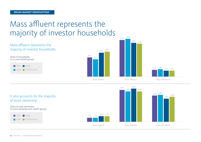## Mass affluent represents the majority of investor households



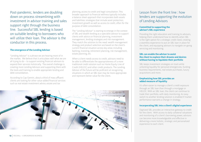Post-pandemic, lenders are doubling down on process streamlining with investment in advisor training and sales support right through the business line. Successful SBL lending is based on suitable lending to borrowers who will utilize their loan. The advisor is the conductor in this process.

## **The emergence of the Lending Advisor**

"Lending Advisor" is a phrase we are hearing more of in the market. We believe that it articulates well what we are all trying to do – to support existing financial advisors to expand their services holistically. The overall challenge is creating more Lending Advisors and supporting them with the tools and training to enable appropriate lending and debt consolidation.

According to Cap Gemini, about a third of mass affluent clients are looking for other value-added financial services such as real estate investment advice, estate and tax

planning, access to credit and legal consultation. This broader approach to financial wellness typically includes a balance sheet approach that incorporates both assets and liabilities; strategies that include asset protection, investment growth as well as access to credit, often for the purpose of debt consolidation.

The "Lending Advisor" is starting to emerge in the context of SBL and wealth lending as a specialist advisor to support clients with advice on financial planning, investment management, lending strategies and risk management. They match the solution to the need: wealth management strategy and product selection are based on the client's current financial situation across key areas including banking, investing, retirement planning, risk management, estate planning, etc.

When a client needs access to credit, advisors need to be able to differentiate the appropriateness of a more traditional credit solution such as Home Equity Line of Credit (HELOC) and other credit products. The Lending Advisor of the future will be proficient at recognizing situations in which an SBL loan may be more appropriate and represent better value for the client.



## Lesson from the front line : how lenders are supporting the evolution of Lending Advisors

## **Committed to supporting the advisor's SBL experience**

Providing the right education and training to advisors, helping them understand how to identify when SBL is the right option for a strategic credit need, creating a seamless experience to put an SBL loan in place for the client, and equipping advisors to navigate on-going servicing and monitoring.

## **SBL can enable the advisor to assist the client to explore their dreams and desires without having to liquidate their portfolio**

SBL keeps investment strategies on track while unlocking liquidity for personal emergencies, funding business requirements, real estate purchases, luxury acquisitions and more.

### **Emphasizing how SBL provides an added measure of liquidity**

It's often easier to manage a client's credit exposure through an SBL loan than through a mortgage or HELOC. With an SBL loan, the client can continue to trade their portfolio, with daily monitoring. An easy switch to another lending solution is enabled if market performance warrants a change in strategy.

## **Incorporating SBL into a client's digital experience**

Digitized SBL provides an interactive gateway to credit for the client. With access to daily collateral valuations and monitoring of a client's borrowing power, advisors can become more knowledgeable and effective in delivering a more holistic, strategic and personalized experience to each client.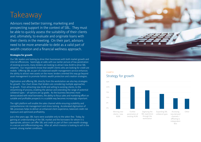## **Takeaway**

Advisors need better training, marketing and prospecting support in the context of SBL. They must be able to quickly assess the suitability of their clients and, ultimately, to evaluate and originate loans with their clients in the meeting. On their part, advisors need to be more amenable to debt as a valid part of wealth creation and a financial wellness approach.

## **Strategies for growth**

Our SBL leaders are looking to drive their businesses with both market growth and internal efficiencies. Seemingly at odds with our earlier picture of low penetration of existing accounts, many lenders are looking to attract new AUM to drive SBL adoption. Our respondents know that wealth clients who are looking for credit are mobile. Offering SBL as part of a balanced wealth management service enhances the ability to attract new assets on the move; lenders oriented this way go beyond asset management to promote holistic wealth protection and creation strategies.

Digitization and offering SBL directly from the workstation are also key strategies for growth. Our chart shows that lenders are considering multiple approaches to growth. From attracting new AUM and selling to existing clients, to the streamlining of process, enabling the advisor and extending the range of potential collateral types – all options are up grabs. As the business becomes more democratized with retail borrowers, the ability to focus sales and marketing effort on suitable and profitable prospects in a scalable way becomes increasingly important.

The right platform will enable the sales channel while ensuring scalability and comprehensive risk management and stress testing. Accelerated digitization of SBL processes helps to deliver an enhanced client experience, balanced credit risk exposure and optimized profitability.

Just a few years ago, SBL loans were available only to the select few. Today, by gaining an understanding of the SBL market and the borrowers for whom it is appropriate, advisors can offer SBL and credit as part of their core wealth strategy in a secure and differentiating way. After all, which investor is looking to sell in the current, strong market conditions.



## CHART 8 Strategy for growth

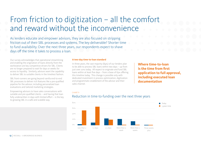## From friction to digitization – all the comfort and reward without the inconvenience

As lenders educate and empower advisors, they are also focused on stripping friction out of their SBL processes and systems. The key deliverable? Shorter time to fund availability. Over the next three years, our respondents expect to shave days off the time it takes to process a loan.

Our survey acknowledges that operational streamlining and enabling the origination of loans directly from the workstation are key competitive drivers for SBL. Clients are no longer prepared to wait for days or weeks for access to liquidity. Similarly, advisors want the capability to deliver SBL to suitable clients in the timeliest fashion.

SBL front-runners are going beyond vanilla end-to-end SBL processes to deliver rich features like a pre-qualified pipeline for the advisor, including personalized loan evaluations and tailored marketing strategies.

Empowering advisors to have sales conversations with suitable and pre-qualified clients – and having that loan fully underwritten in days with limited effort – is the key to growing SBL in a safe and scalable way.

### **A two-day time-to-loan standard**

In three years, the vast majority (84%) of our lenders plan to be able to process SBL loans within two days – up from just over 20% today. All expect to originate and fund SBL loans within at least five days – from a base of 63% offering this timeline today. This change is possible only with dedicated investment in process optimization, digitization and programmatic enablement of the advisor and their sales channel.

**Where time-to-loan is the time from first application to full approval, including executed loan documentation**

#### CHART 9



## Reduction in time-to-funding over the next three years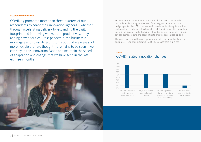## **Accelerated innovation**

COVID-19 prompted more than three-quarters of our respondents to adapt their innovation agendas – whether through accelerating delivery, by expanding the digital footprint and improving workstation productivity, or by adding new priorities. Post-pandemic, the business is more agile and streamlined. It turns out that we were a lot more flexible than we thought. It remains to be seen if we can stay in this Innovation-Mode and maintain the speed of adaptation and change that we have seen in the last eighteen months.



SBL continues to be a target for innovation dollars, with over a third of respondents dedicating at least 10% of their organisations' innovation budget specifically to SBL. Lenders are focused on minimizing time-to-loan and enabling the advisor sales channel, all while maintaining tight credit and operational risk control. Fully digital onboarding is being supported with rich advisor dashboard data and capabilities to encourage seamless lending.

The goal of advisor-led business growth supported by streamlined end-toend processes and sophisticated credit risk management is in sight.

## CHART 10 COVID-related innovation changes

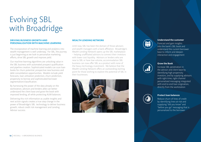## Evolving SBL with Broadridge

### **DRIVING BUSINESS GROWTH AND PERSONALIZATION WITH MACHINE LEARNING**

The incorporation of machine learning and analytics into wealth management is well underway. For SBL, the journey is just beginning as we look to personalize marketing efforts, drive SBL growth and improve yield.

Our machine learning algorithms are unlocking value in the SBL business with automated prospect qualification and pipeline creation. Sophisticated models can scan loan books for churn potential, prospective new business and debt consolidation opportunities. Models include yield forecasts, loan utilization prediction, churn prediction, propensity to borrow and sophisticated borrower segmentation/classification.

By harnessing the power of the data already on the workstation, advisors and lenders alike can better understand the client base and grow the book with improved lending, all while protecting AUM balances.

Delivering this rich information as usable insights and next action signals creates a true step change in the power of Broadridge's SBL technology to deliver business growth, robust credit risk management and Lending Advisor success.

### **WEALTH LENDING NETWORK**

Until now, SBL has been the domain of those advisors and wealth managers with a bank affiliation. Broadridge's Wealth Lending Network opens up the SBL marketplace – helping unaffiliated advisors to connect their investors with lower cost liquidity. Advisors or lenders who are new to SBL or have low-volume, accommodation SBL business can now offer SBL as a product with none of the heavy technology investment. We believe that the Wealth Lending Network offers an outstanding starting point for those wishing to explore the potential of SBL in their businesses.





#### **Understand the customer**

Forecast and gain insights into the bank's SBL book and understand the current borrower base to inform and deepen interaction and engagement



## **Grow the Book**

Increase SBL penetration in the advisor and client base by identifying high propensity investors, and by supplying advisors with right-time, right-channel personalized messaging integrated with end-to-end loan origination, directly from the workstation



#### **Protect loan balances**

Reduce churn of lines of credit by identifying lines-at-risk and supplying "did you know" and "before you go" messaging that is personalized to the borrower